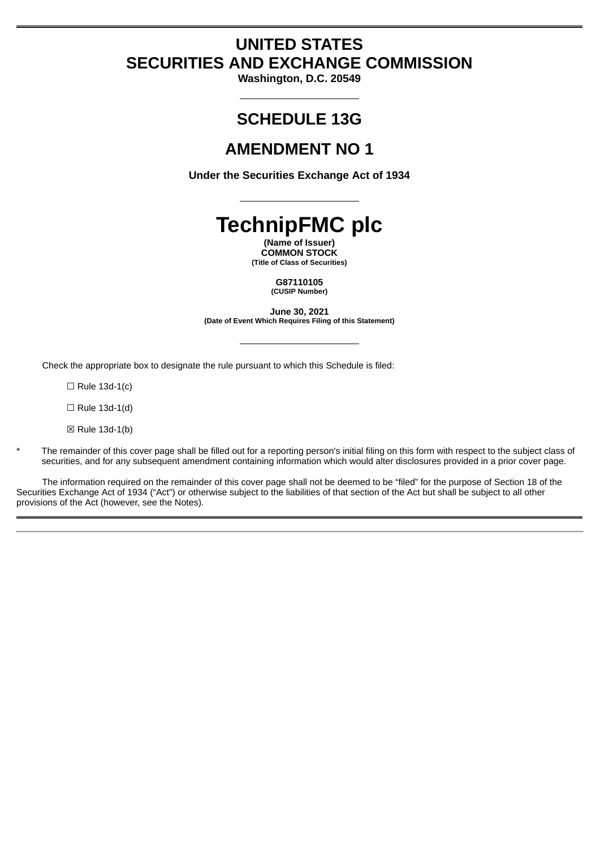# **UNITED STATES SECURITIES AND EXCHANGE COMMISSION**

**Washington, D.C. 20549**

# **SCHEDULE 13G**

# **AMENDMENT NO 1**

**Under the Securities Exchange Act of 1934**

**TechnipFMC plc**

**(Name of Issuer) COMMON STOCK (Title of Class of Securities)**

> **G87110105 (CUSIP Number)**

**June 30, 2021 (Date of Event Which Requires Filing of this Statement)**

Check the appropriate box to designate the rule pursuant to which this Schedule is filed:

 $\Box$  Rule 13d-1(c)

 $\Box$  Rule 13d-1(d)

 $\boxtimes$  Rule 13d-1(b)

The remainder of this cover page shall be filled out for a reporting person's initial filing on this form with respect to the subject class of securities, and for any subsequent amendment containing information which would alter disclosures provided in a prior cover page.

The information required on the remainder of this cover page shall not be deemed to be "filed" for the purpose of Section 18 of the Securities Exchange Act of 1934 ("Act") or otherwise subject to the liabilities of that section of the Act but shall be subject to all other provisions of the Act (however, see the Notes).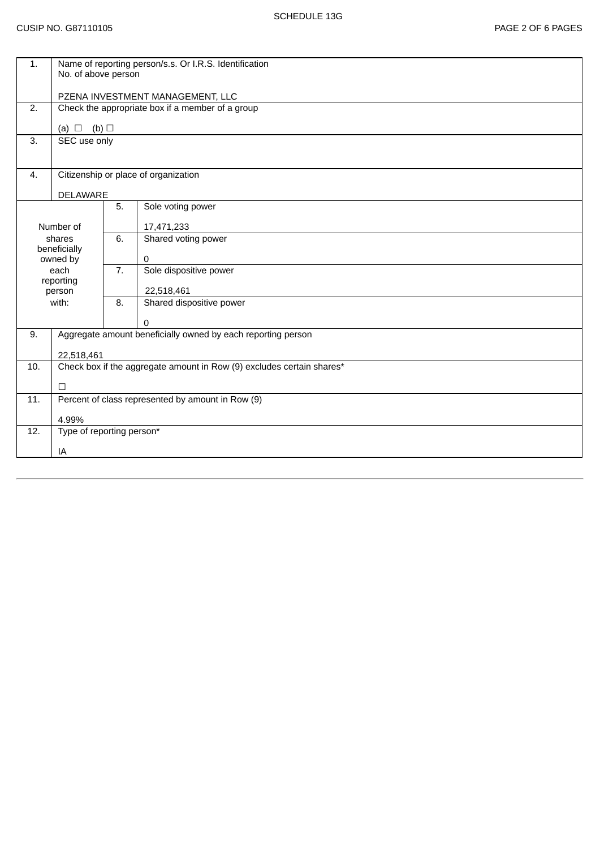|                                  | 1.<br>Name of reporting person/s.s. Or I.R.S. Identification<br>No. of above person  |                          |  |  |  |  |
|----------------------------------|--------------------------------------------------------------------------------------|--------------------------|--|--|--|--|
|                                  |                                                                                      |                          |  |  |  |  |
| 2.                               | PZENA INVESTMENT MANAGEMENT, LLC<br>Check the appropriate box if a member of a group |                          |  |  |  |  |
|                                  |                                                                                      |                          |  |  |  |  |
| 3.                               | (a) $\Box$ (b) $\Box$<br>SEC use only                                                |                          |  |  |  |  |
|                                  |                                                                                      |                          |  |  |  |  |
| 4.                               | Citizenship or place of organization                                                 |                          |  |  |  |  |
|                                  | <b>DELAWARE</b>                                                                      |                          |  |  |  |  |
|                                  | 5.                                                                                   | Sole voting power        |  |  |  |  |
| Number of                        |                                                                                      | 17,471,233               |  |  |  |  |
| shares<br>beneficially           | 6.                                                                                   | Shared voting power      |  |  |  |  |
| owned by                         |                                                                                      | $\mathbf{0}$             |  |  |  |  |
| each<br>reporting                | 7.                                                                                   | Sole dispositive power   |  |  |  |  |
| person                           |                                                                                      | 22,518,461               |  |  |  |  |
| with:                            | 8.                                                                                   | Shared dispositive power |  |  |  |  |
|                                  |                                                                                      | $\Omega$                 |  |  |  |  |
| 9.                               | Aggregate amount beneficially owned by each reporting person                         |                          |  |  |  |  |
|                                  | 22,518,461                                                                           |                          |  |  |  |  |
| 10.                              | Check box if the aggregate amount in Row (9) excludes certain shares*                |                          |  |  |  |  |
| $\Box$                           |                                                                                      |                          |  |  |  |  |
| 11.                              | Percent of class represented by amount in Row (9)                                    |                          |  |  |  |  |
|                                  | 4.99%                                                                                |                          |  |  |  |  |
| Type of reporting person*<br>12. |                                                                                      |                          |  |  |  |  |
| IA                               |                                                                                      |                          |  |  |  |  |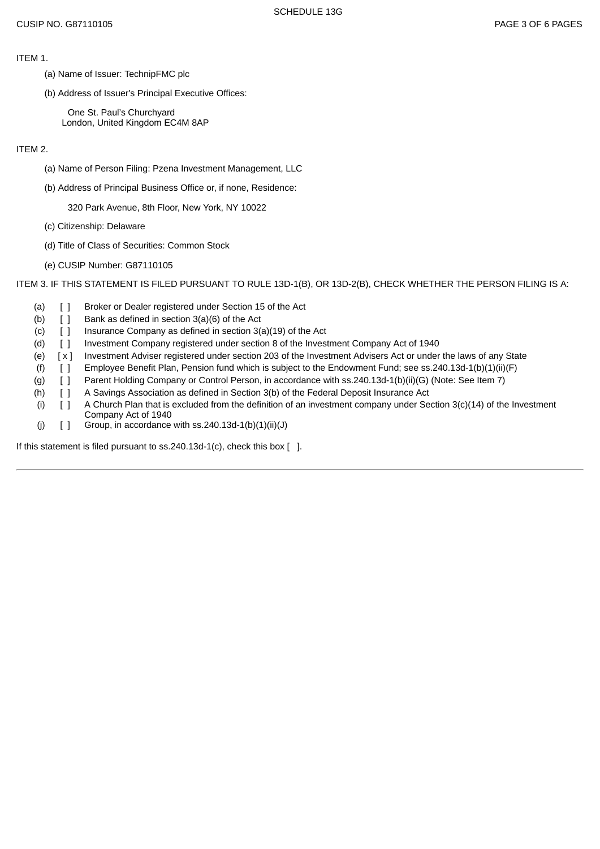ITEM 1.

- (a) Name of Issuer: TechnipFMC plc
- (b) Address of Issuer's Principal Executive Offices:

One St. Paul's Churchyard London, United Kingdom EC4M 8AP

ITEM 2.

- (a) Name of Person Filing: Pzena Investment Management, LLC
- (b) Address of Principal Business Office or, if none, Residence:

320 Park Avenue, 8th Floor, New York, NY 10022

- (c) Citizenship: Delaware
- (d) Title of Class of Securities: Common Stock
- (e) CUSIP Number: G87110105

ITEM 3. IF THIS STATEMENT IS FILED PURSUANT TO RULE 13D-1(B), OR 13D-2(B), CHECK WHETHER THE PERSON FILING IS A:

- (a) [ ] Broker or Dealer registered under Section 15 of the Act
- (b)  $\begin{bmatrix} \end{bmatrix}$  Bank as defined in section 3(a)(6) of the Act
- (c)  $\begin{bmatrix} 1 \\ 1 \end{bmatrix}$  Insurance Company as defined in section 3(a)(19) of the Act
- (d) [ ] Investment Company registered under section 8 of the Investment Company Act of 1940
- (e) [ x ] Investment Adviser registered under section 203 of the Investment Advisers Act or under the laws of any State
- (f) [ ] Employee Benefit Plan, Pension fund which is subject to the Endowment Fund; see ss.240.13d-1(b)(1)(ii)(F)
- (g) [ ] Parent Holding Company or Control Person, in accordance with ss.240.13d-1(b)(ii)(G) (Note: See Item 7)
- (h) [ ] A Savings Association as defined in Section 3(b) of the Federal Deposit Insurance Act
- (i)  $[ ]$  A Church Plan that is excluded from the definition of an investment company under Section 3(c)(14) of the Investment Company Act of 1940
- (j)  $[ ]$  Group, in accordance with ss.240.13d-1(b)(1)(ii)(J)

If this statement is filed pursuant to ss.240.13d-1(c), check this box [ ].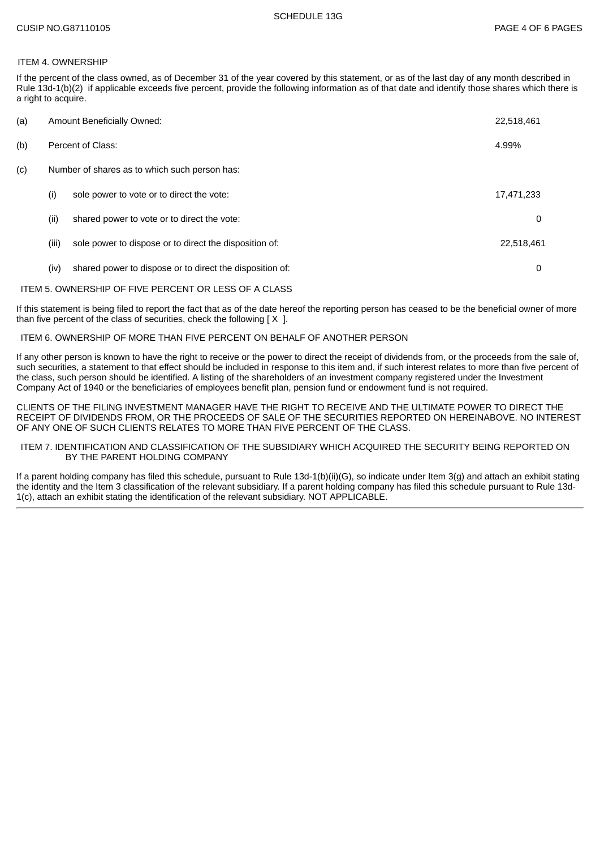## ITEM 4. OWNERSHIP

If the percent of the class owned, as of December 31 of the year covered by this statement, or as of the last day of any month described in Rule 13d-1(b)(2) if applicable exceeds five percent, provide the following information as of that date and identify those shares which there is a right to acquire.

| (a) | Amount Beneficially Owned:                    |                                                          |            |
|-----|-----------------------------------------------|----------------------------------------------------------|------------|
| (b) | Percent of Class:                             |                                                          |            |
| (c) | Number of shares as to which such person has: |                                                          |            |
|     | (i)                                           | sole power to vote or to direct the vote:                | 17,471,233 |
|     | (i)                                           | shared power to vote or to direct the vote:              | 0          |
|     | (iii)                                         | sole power to dispose or to direct the disposition of:   | 22,518,461 |
|     | (iv)                                          | shared power to dispose or to direct the disposition of: | 0          |

#### ITEM 5. OWNERSHIP OF FIVE PERCENT OR LESS OF A CLASS

If this statement is being filed to report the fact that as of the date hereof the reporting person has ceased to be the beneficial owner of more than five percent of the class of securities, check the following  $[X]$ .

#### ITEM 6. OWNERSHIP OF MORE THAN FIVE PERCENT ON BEHALF OF ANOTHER PERSON

If any other person is known to have the right to receive or the power to direct the receipt of dividends from, or the proceeds from the sale of, such securities, a statement to that effect should be included in response to this item and, if such interest relates to more than five percent of the class, such person should be identified. A listing of the shareholders of an investment company registered under the Investment Company Act of 1940 or the beneficiaries of employees benefit plan, pension fund or endowment fund is not required.

CLIENTS OF THE FILING INVESTMENT MANAGER HAVE THE RIGHT TO RECEIVE AND THE ULTIMATE POWER TO DIRECT THE RECEIPT OF DIVIDENDS FROM, OR THE PROCEEDS OF SALE OF THE SECURITIES REPORTED ON HEREINABOVE. NO INTEREST OF ANY ONE OF SUCH CLIENTS RELATES TO MORE THAN FIVE PERCENT OF THE CLASS.

#### ITEM 7. IDENTIFICATION AND CLASSIFICATION OF THE SUBSIDIARY WHICH ACQUIRED THE SECURITY BEING REPORTED ON BY THE PARENT HOLDING COMPANY

If a parent holding company has filed this schedule, pursuant to Rule 13d-1(b)(ii)(G), so indicate under Item 3(g) and attach an exhibit stating the identity and the Item 3 classification of the relevant subsidiary. If a parent holding company has filed this schedule pursuant to Rule 13d-1(c), attach an exhibit stating the identification of the relevant subsidiary. NOT APPLICABLE.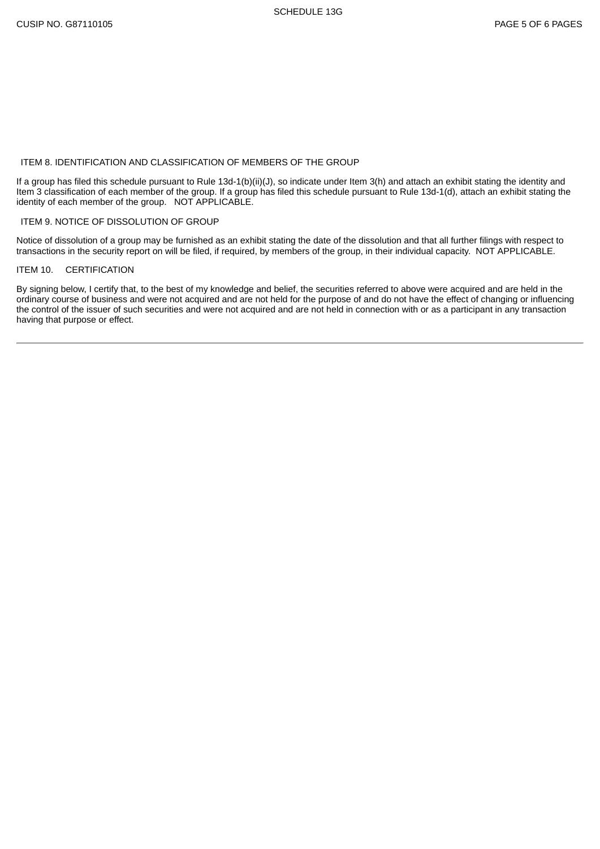## ITEM 8. IDENTIFICATION AND CLASSIFICATION OF MEMBERS OF THE GROUP

If a group has filed this schedule pursuant to Rule 13d-1(b)(ii)(J), so indicate under Item 3(h) and attach an exhibit stating the identity and Item 3 classification of each member of the group. If a group has filed this schedule pursuant to Rule 13d-1(d), attach an exhibit stating the identity of each member of the group. NOT APPLICABLE.

#### ITEM 9. NOTICE OF DISSOLUTION OF GROUP

Notice of dissolution of a group may be furnished as an exhibit stating the date of the dissolution and that all further filings with respect to transactions in the security report on will be filed, if required, by members of the group, in their individual capacity. NOT APPLICABLE.

### ITEM 10. CERTIFICATION

By signing below, I certify that, to the best of my knowledge and belief, the securities referred to above were acquired and are held in the ordinary course of business and were not acquired and are not held for the purpose of and do not have the effect of changing or influencing the control of the issuer of such securities and were not acquired and are not held in connection with or as a participant in any transaction having that purpose or effect.